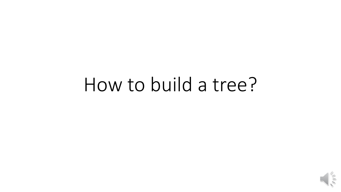## How to build a tree?

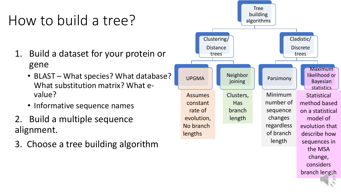## How to build a tree?

- 1. Build a dataset for your protein or gene
	- BLAST What species? What database? What substitution matrix? What evalue?
	- Informative sequence names
- 2. Build a multiple sequence alignment.
- 3. Choose a tree building algorithm



branch length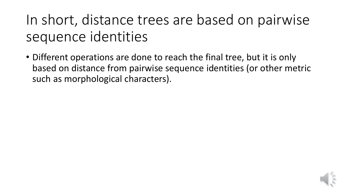In short, distance trees are based on pairwise sequence identities

• Different operations are done to reach the final tree, but it is only based on distance from pairwise sequence identities (or other metric such as morphological characters).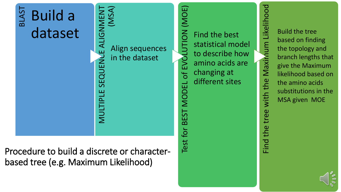

Procedure to build a discrete or characterbased tree (e.g. Maximum Likelihood)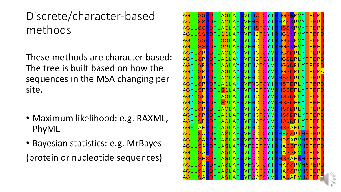### Discrete/character-based methods

These methods are character based: The tree is built based on how the sequences in the MSA changing per site.

- Maximum likelihood: e.g. RAXML, PhyML
- Bayesian statistics: e.g. MrBayes

(protein or nucleotide sequences)

SSRDFLAGLAFRVFHSTOYIRHGSRPI AGLLSSRDFLAGLAFRVFHSTQYIRHASKPMYTPEPD AGLLSSRDFLAGLAFRVFHSTQYIRHSSKPMYTPEPD AGLLSSRDFLGGLAFRVFHCTQYIRHGSKPMYTPEPD AGLLSSRDFLGGLAFRVFHCTQYIRHGSKPMYTPEPD AGLLSSRDFLGGLAFRVFHCTQYIRHGSKPMYTPEPD AGYLSPRDFLAGLAYRVFHCTQYVRHGSDPLYTPEPD AGYLSPRDFLAGLAYRVFHCTQYIRHGSDPLYTPEPD AGYLSPRDFLAGLAYRVFHCTQYVRHGSDPLYTPEPD AGYLSPRDFLAGLAYRVFHCTQYVRHGSDPLYTPEPA AGYLSPRDFLAGLAFRVFHCTQYVRHSSDPLYTPEPD AGYLSPRDFLAGLAYRVFNCTQYIRHSTDPLYTPEPD AGYLSPRDFLSGLAFRVFHCTQYVRHSSDPLYTPEPD AGYLSPRDFLAGLAFRVFHCTQYVRHSSDPFYTPEPD AGYLSPRDFLSGLAFRVFHCTQYVRHSSDPFYTPEPD AGYLSPRDFLAGLAFRVFHCTQYVRHSSDPLYTPEPD AGYLSPRDFLAGLAFRVFHCTQYVRHSSDPLYTPEPD AGYLSPRDFLAGLAFRVFHCTQYVRHSSDPLYTPEPD AGFLAPRDFLAGLAFRVFHCTQYVRHSSAPLYTPEPD <mark>AGLLSARD</mark>FLASLAF<mark>RVFQCTQYIRHF</mark>SSPT<mark>HSPEPD</mark> AGLLSARDFLASLAFRVFQCTQYIRHPSAPMHSPEPD AGLLSARDFLASLAFRVFQCTQYIRHASSPMHSPEPD AGLLSARDFLASLAFRVFQCTQYIRHASSPMHSPEPD AGLLSPSDFLASLAFRVFQCTQYIRHSSAPKHSPEPD AGLLSARDFLASLAFRVFQCTQYIRHASSPMHSPEPD AGLLSARDFLASLAFRVFQCTQYIRHASSPMHSPEPD .ASLAFRVFQCTQYVRHASAPMHSPE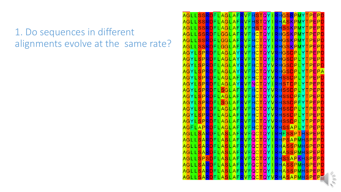#### 1. Do sequences in different alignments evolve at the same rate?

AGLISSRDELAGLAERVEHSTOYIRHGSRPM AGLLSSRDFLAGLAFRVFHSTQYIRHASKPMYTPEPD AGLLSSRDFLAGLAFRVFHSTQYIRHSSKPMYTPEPD AGLLSSRDFLGGLAFRVFHCTQYIRHGSKPMYTPEPD AGLLSSRDFLGGLAFRVFHCTQYIRHGSKPMYTPEPD AGLLSSRDFLGGLAFRVFHCTQYIRHGSKPMYTPEPD AGYLSPRDFLAGLAYRVFHCTQYVRHGSDPLYTPEPE AGYLSPRDFLAGLAYRVFHCTQYIRHGSDPLYTPEPD AGYLSPRDFLAGLAYRVFHCTQYVRHGSDPLYTPEPD AGYLSPRDFLAGLAYRVFHCTQYVRHGSDPLYTPEPA AGYLSPRDFLAGLAFRVFHCTQYVRHSSDPLYTPEPD AGYLSPRDFLAGLAYRVFNCTQYIRHSTDPLYTPEPD AGYLSPRDFLSGLAFRVFHCTQYVRHSSDPLYTPEPD AGYLSPRDFLAGLAFRVFHCTQYVRHSSDPFYTPEPD AGYLSPRDFLSGLAFRVFHCTQYVRHSSDPFYTPEPD AGYLSPRDFLAGLAFRVFHCTQYVRHSSDPLYTPEPD AGYLSPRDFLAGLAFRVFHCTQYVRHSSDPLYTPEPD AGYLSPRDFLAGLAFRVFHCTQYVRHSSDPLYTPEPD AGFLAPRDFLAGLAFRVFHCTQYVRHSSAPLYTPEPD AGLLSARDFLASLAFRVFQCTQYIRHFSSPTHSPEPD AGLLSARDFLASLAFRVFQCTQYIRHPSAPMHSPEPD <mark>AGLLSARD</mark>FLASLAFRVFQCTQYIRHASSPMHSPEP<mark>[</mark> AGLLSARDFLASLAFRVFQCTQYIRHASSPMHSPEPD AGLLSPSDFLASLAFRVFQCTQYIRHSSAPKHSPEPD AGLLSARDFLASLAFRVFQCTQYIRHASSPMHSPEPD AGLLSARDFLASLAFRVFQCTQYIRHASSPMHSPEPD R<mark>d</mark>flaslafrvfqctqyvrhasapmhspe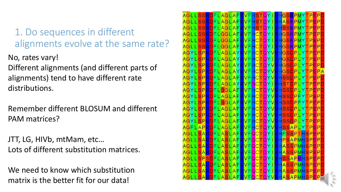1. Do sequences in different alignments evolve at the same rate?

No, rates vary!

Different alignments (and different parts of alignments) tend to have different rate distributions.

Remember different BLOSUM and different PAM matrices?

JTT, LG, HIVb, mtMam, etc… Lots of different substitution matrices.

We need to know which substitution matrix is the better fit for our data!

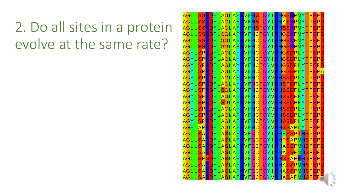### 2. Do all sites in a protein evolve at the same rate?

ISSRDFLAGLAFRVFHSTOYIRHGSRPMYTPFP<mark>L</mark> AGLLSSRDFLAGLAFRVFHSTQYIRHASKPMYTPEPD AGLLSSRDFLAGLAFRVFHSTQYIRHSSKPMYTPEPD AGLLSSRDFLGGLAFRVFHCTQYIRHGSKPMYTPEPD AGLLSSRDFLGGLAFRVFHCTQYIRHGSKPMYTPEPD AGLLSSRDFLGGLAFRVFHCTQYIRHGSKPMYTPEPD AGYLSPRDFLAGLAYRVFHCTQYVRHGSDPLYTPEPE AGYLSPRDFLAGLAYRVFHCTQYIRHGSDPLYTPEPD AGYLSPRDFLAGLAYRVFHCTQYVRHGSDPLYTPEPD AGYLSPRDFLAGLAYRVFHCTQYVRHGSDPLYTPEPA AGYLSPRDFLAGLAFRVFHCTQYVRHSSDPLYTPEPD AGYLSPRDFLAGLAYRVFNCTQYIRHSTDPLYTPEPD AGYLSPRDFLSGLAFRVFHCTQYVRHSSDPLYTPEPD AGYLSPRDFLAGLAFRVFHCTQYVRHSSDPFYTPEPD AGYLSPRDFLSGLAFRVFHCTQYVRHSSDPFYTPEPL AGYLSPRDFLAGLAFRVFHCTQYVRHSSDPLYTPEPD AGYLSPRDFLAGLAFRVFHCTQYVRHSSDPLYTPEPD AGYLSPRDFLAGLAFRVFHCTQYVRHSSDPLYTPEPL AGFLAPRDFLAGLAFRVFHCTQYVRHSSAPLYTPEPD AGLLSARDFLASLAFRVFQCTQYIRHFSSPTHSPEPD AGLLSARDFLASLAFRVFQCTQYIRHPSAPMHSPEPD AGLLSARDFLASLAFRVFQCTQYIRHASSPMHSPEPD AGLLSARDFLASLAFRVFQCTQYIRHASSPMHSPEPD AGLLSPSDFLASLAFRVFQCTQYIRHSSAPKHSPEPD AGLLSARDFLASLAFRVFQCTQYIRHASSPMHSPEPD AGLLSARDFLASLAFRVFQCTQYIRHASSPMHSPEPD D<mark>flaslafrvfqctqyvrhasapmhsp</mark>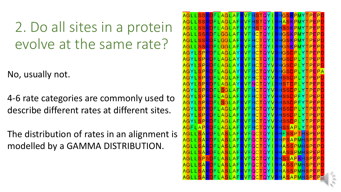### 2. Do all sites in a protein evolve at the same rate?

No, usually not.

4-6 rate categories are commonly used to describe different rates at different sites.

The distribution of rates in an alignment is modelled by a GAMMA DISTRIBUTION.

AGLLSSRDFLAGLAFRVFHSTQYIRHGSRPMYTPEPD AGLLSSRDFLAGLAFRVFHSTQYIRHASKPMYTPEPD AGLLSSRDFLAGLAFRVFHSTQYIRHSSKPMYTPEPD AGLLSSRDFLGGLAFRVFHCTQYIRHGSKPMYTPEPD AGLLSSRDFLGGLAFRVFHCTQYIRHGSKPMYTPEPD AGLLSSRDFLGGLAFRVFHCTQYIRHGSKPMYTPEPD AGYLSPRDFLAGLAYRVFHCTQYVRHGSDPLYTPEPD AGYLSPRDFLAGLAYRVFHCTQYIRHGSDPLYTPEPD AGYLSPRDFLAGLAYRVFHCTQYVRHGSDPLYTPEPD AGYLSPRDFLAGLAYRVFHCTQYVRHGSDPLYTPEPA AGYLSPRDFLAGLAFRVFHCTQYVRHSSDPLYTPEPD AGYLSPRDFLAGLAYRVFNCTQYIRHSTDPLYTPEPD AGYLSPRDFLSGLAFRVFHCTQYVRHSSDPLYTPEPD AGYLSPRDFLAGLAFRVFHCTQYVRHSSDPFYTPEPD AGYLSPRDFLSGLAFRVFHCTQYVRHSSDPFYTPEPD AGYLSPRDFLAGLAFRVFHCTQYVRHSSDPLYTPEPD AGYLSPRDFLAGLAFRVFHCTQYVRHSSDPLYTPEPD AGYLSPRDFLAGLAFRVFHCTQYVRHSSDPLYTPEPD AGFLAPRDFLAGLAFRVFHCTQYVRHSSAPLYTPEPD AGLLSARDFLASLAFRVFQCTQYIRHFSSPTHSPEPD AGLLSARDFLASLAFRVFQCTQYIRHPSAPMHSPEPD AGLLSARDFLASLAFRVFQCTQYIRHASSPMHSPEPD AGLLSARDFLASLAFRVFQCTQYIRHASSPMHSPEPD AGLLSPSDFLASLAFRVFQCTQYIRHSSAPKHSPEPD AGLLSARDFLASLAFRVFQCTQYIRHASSPMHSPEPD AGLLSARDFLASLAFRVFQCTQYIRHASSPMHSPEPD RDFLASLAFRVFQCTQYVRHASAPMHSPE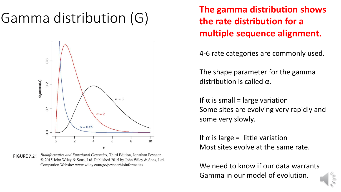

Bioinformatics and Functional Genomics, Third Edition, Jonathan Pevsner. **FIGURE 7.21** © 2015 John Wiley & Sons, Ltd. Published 2015 by John Wiley & Sons, Ltd. Companion Website: www.wiley.com/go/pevsnerbioinformatics

Gamma distribution (G) The gamma distribution shows<br> **The gamma distribution shows the rate distribution for a multiple sequence alignment.** 

4-6 rate categories are commonly used.

The shape parameter for the gamma distribution is called α.

If  $\alpha$  is small = large variation Some sites are evolving very rapidly and some very slowly.

If  $\alpha$  is large = little variation Most sites evolve at the same rate.

We need to know if our data warrants Gamma in our model of evolution.

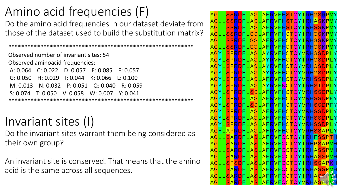### Amino acid frequencies (F)

Do the amino acid frequencies in our dataset deviate from those of the dataset used to build the substitution matrix?

\*\*\*\*\*\*\*\*\*\*\*\*\*\*\*\*\*\*\*\*\*\*\*\*\*\*\*\*\*\*\*\*\*\*\*\*\*\*\*\*\*\*\*\*\*\*\*\*\*\*\*\*\*\*\*\*\*\* Observed number of invariant sites: 54 Observed aminoacid frequencies: A: 0.064 C: 0.022 D: 0.057 E: 0.085 F: 0.057 G: 0.050 H: 0.029 I: 0.044 K: 0.066 L: 0.100 M: 0.013 N: 0.032 P: 0.051 Q: 0.040 R: 0.059 S: 0.074 T: 0.050 V: 0.058 W: 0.007 Y: 0.041 \*\*\*\*\*\*\*\*\*\*\*\*\*\*\*\*\*\*\*\*\*\*\*\*\*\*\*\*\*\*\*\*\*\*\*\*\*\*\*\*\*\*\*\*\*\*\*\*\*\*\*\*\*\*\*\*\*\*

### Invariant sites (I)

Do the invariant sites warrant them being considered as their own group?

An invariant site is conserved. That means that the amino acid is the same across all sequences.

AGLLSSRDFLAGLAFRVFHSTQYIRHGSRPMY AGLLSSRDFLAGLAFRVFHSTQYIRHASKPMY AGLLSSRDFLAGLAFRVFHSTQYIRHSSKPMY AGLLSSRDFLGGLAFRVFHCTQYIRHGSKPMY AGLLSSRDFLGGLAFRVFHCTQYIRHGSKPMY AGLLSSRDFLGGLAFRVFHCTQYIRHGSKPMY <mark>AGYLSPRD</mark>FLAGLAYRVFHCTQYVRHGSDPLY <mark>AGYLSPRD</mark>FLAGLAYRVFHCTQYIRHGSDPLY AGYLSPRDFLAGLAYRVFHCTQYVRHGSDPLY <mark>AGYLSPRD</mark>FLAGLAYRVFHCTQYVRHGSDPLY <mark>AGYLSPRD</mark>FLAGLAFRVFHCTQYVRHSSDPLY <mark>AGYLSPRD</mark>FLAGLAY<mark>R</mark>VFNCTQYI<mark>RHSTDPL</mark>Y AGYLSPRDFLSGLAFRVFHCTQYVRHSSDPLY <mark>AGYLSPRD</mark>FLAGLAFRVFHCTQYV<mark>RHSSDP</mark>FY AGYLSPRDFLSGLAFRVFHCTQYVRHSSDPFY AGYLSPRDFLAGLAFRVFHCTQYVRHSSDPLY AGYLSPRDFLAGLAFRVFHCTQYVRHSSDPLY AGYLSPRDFLAGLAFRVFHCTQYVRHSSDPLY <mark>AGFLAPRD</mark>FLAGLAFRVFHCTQYV<mark>RHSSAPL</mark>Y AGLLSARDFLASLAFRVFQCTQYIRHFSSPTF <mark>AGLLSARDFLASLAFRVFQCTQYIRHPSAPMF</mark> AGLLSARDFLASLAFRVFQCTQYIRHASSPMF <mark>AGLLSARD</mark>FLASLAFRVFQCTQYIRHASSPMH AGLLSPSDFLASLAFRVFQCTQYIRHSSAPKF AGLLSARDFLASLAFRVFQCTQYIRHASSPMF <mark>AGLLSARD</mark>FLASLAFRVFQCTQYIRHASY .<mark>sard</mark>flaslaf<mark>rvfqctqyvr</mark>f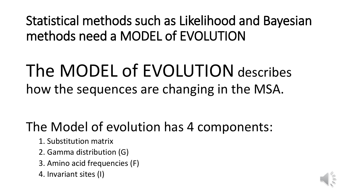Statistical methods such as Likelihood and Bayesian methods need a MODEL of EVOLUTION

## The MODEL of EVOLUTION describes how the sequences are changing in the MSA.

### The Model of evolution has 4 components:

- 1. Substitution matrix
- 2. Gamma distribution (G)
- 3. Amino acid frequencies (F)
- 4. Invariant sites (I)

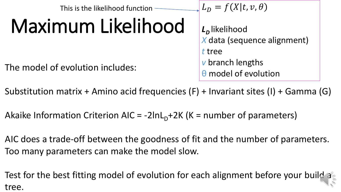This is the likelihood function -

# Maximum Likelihood

The model of evolution includes:  $\theta$  model of evolution

 $L_D = f(X|t, v, \theta)$ 

*LD* likelihood *X* data (sequence alignment) *t* tree *v* branch lengths

Substitution matrix + Amino acid frequencies (F) + Invariant sites (I) + Gamma (G)

Akaike Information Criterion AIC =  $-2\ln L_D+2K$  (K = number of parameters)

AIC does a trade-off between the goodness of fit and the number of parameters. Too many parameters can make the model slow.

Test for the best fitting model of evolution for each alignment before your build a tree.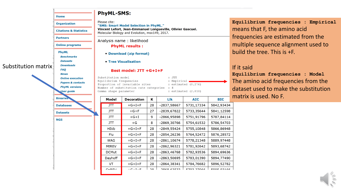#### **PhyML-SMS:**

Please cite:

**Organization** 

**Citations & Statistics** 

**Online programs** 

**Benchmarks Datasets** 

**Downloads** 

**Papers & contacts** 

**PhyML versions** 

**User guide** 

**Binaries** 

**Databases** 

**Home** 

**Partners** 

**PhyML** 

"SMS: Smart Model Selection in PhyML." Vincent Lefort, Jean-Emmanuel Longueville, Olivier Gascuel. Molecular Biology and Evolution, msx149, 2017.

#### Analysis name: likelihood

**PhyML results:** 

• Download (zip format)

#### • Tree Visualisation

#### Best model: JTT +G+I+F

 $+G+I+F$ 

 $+G+I+F$ 

 $(0.11)$ 

Substitution model Equilibrium frequencies Proportion of invariable sites Number of substitution rate categories Gamma shape parameter

Dayhoff

**VT** 

 $CNDENI$ 

 $:JTT$ : Empirical, : estimated  $(0.276)$ 

5783,01390

5784,76682

 $570227066$ 

5894,77490

5896,52782

EODE 02166

 $\therefore$  4 : estimated  $(2.810)$ 

**BIC**  $\mathbf{K}$ Llk **Model Decoration AIC** ग्रा  $+G+I+F$ 28  $-2837,58667$ 5731,17334 5842,93434 5733,35644 5841,12598  $JTT$  $+G+F$ 27  $-2839,67822$ -2866,95898 5751,91796 5787,84114  $JTT$  $+G+I$ 9 8 -2869,30766 5754,61532 5786,54703  $JTT$  $+G$  $-2849,55424$ 5755,10848 **HIVb**  $+G+I+F$ 28 5866,86948 Flu  $+G+I+F$ 28  $-2854, 26236$ 5764,52472 5876,28572  $-2861,10674$ 5778,21348 5889,97448  $+G+I+F$ 28 **WAG** 5781,92642 5893,68742 **MtREV**  $+G+I+F$ 28  $-2862,96321$ 5782,93536 5894,69636 **DCMut**  $+G+I+F$ 28 -2863,46768

28

28

 $70^{\circ}$ 

 $-2863,50695$ 

-2864,38341

 $70606257$ 

**Equilibrium frequencies : Empirical**  means that F, the amino acid frequencies are estimated from the multiple sequence alignment used to build the tree. This is +F.

#### If it said

**Equilibrium frequencies : Model**  The amino acid frequencies from the dataset used to make the substitution matrix is used. No F.

**FAQ News Online execution** 

Substitution matrix

**Datasets NGS** 

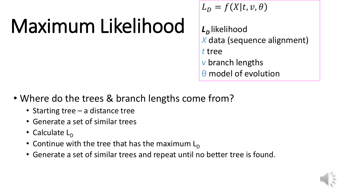# Maximum Likelihood

$$
L_D = f(X|t, v, \theta)
$$

*LD* likelihood *X* data (sequence alignment) *t* tree *v* branch lengths θ model of evolution

- Where do the trees & branch lengths come from?
	- Starting tree a distance tree
	- Generate a set of similar trees
	- Calculate  $L_{\text{D}}$
	- Continue with the tree that has the maximum  $L_D$
	- Generate a set of similar trees and repeat until no better tree is found.

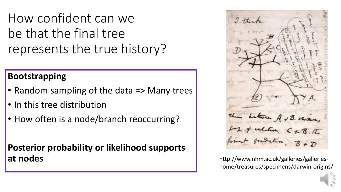How confident can we be that the final tree represents the true history?

#### **Bootstrapping**

- Random sampling of the data => Many trees
- In this tree distribution
- How often is a node/branch reoccurring?

**Posterior probability or likelihood supports at nodes http://www.nhm.ac.uk/galleries/galleries-**



home/treasures/specimens/darwin-origins/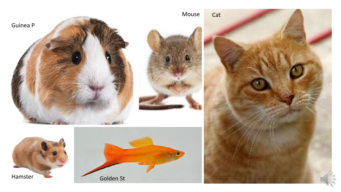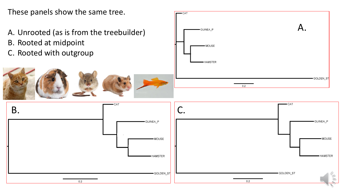These panels show the same tree.

- A. Unrooted (as is from the treebuilder)
- B. Rooted at midpoint
- C. Rooted with outgroup



| $-CAT$<br>GUINEA_P | A.                     |
|--------------------|------------------------|
| -MOUSE             |                        |
| -HAMSTER           |                        |
|                    | <del>-</del> GOLDEN_ST |
| $0.2\,$            |                        |